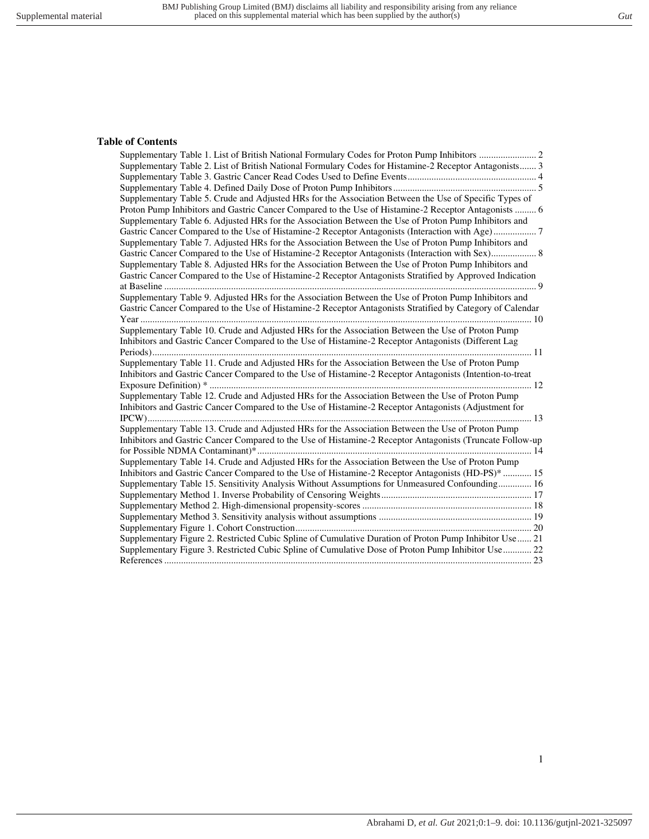#### **Table of Contents**

| Supplementary Table 2. List of British National Formulary Codes for Histamine-2 Receptor Antagonists 3    |
|-----------------------------------------------------------------------------------------------------------|
|                                                                                                           |
|                                                                                                           |
| Supplementary Table 5. Crude and Adjusted HRs for the Association Between the Use of Specific Types of    |
| Proton Pump Inhibitors and Gastric Cancer Compared to the Use of Histamine-2 Receptor Antagonists  6      |
| Supplementary Table 6. Adjusted HRs for the Association Between the Use of Proton Pump Inhibitors and     |
| Gastric Cancer Compared to the Use of Histamine-2 Receptor Antagonists (Interaction with Age)7            |
| Supplementary Table 7. Adjusted HRs for the Association Between the Use of Proton Pump Inhibitors and     |
|                                                                                                           |
| Supplementary Table 8. Adjusted HRs for the Association Between the Use of Proton Pump Inhibitors and     |
| Gastric Cancer Compared to the Use of Histamine-2 Receptor Antagonists Stratified by Approved Indication  |
|                                                                                                           |
| Supplementary Table 9. Adjusted HRs for the Association Between the Use of Proton Pump Inhibitors and     |
| Gastric Cancer Compared to the Use of Histamine-2 Receptor Antagonists Stratified by Category of Calendar |
|                                                                                                           |
| Supplementary Table 10. Crude and Adjusted HRs for the Association Between the Use of Proton Pump         |
| Inhibitors and Gastric Cancer Compared to the Use of Histamine-2 Receptor Antagonists (Different Lag      |
|                                                                                                           |
| Supplementary Table 11. Crude and Adjusted HRs for the Association Between the Use of Proton Pump         |
| Inhibitors and Gastric Cancer Compared to the Use of Histamine-2 Receptor Antagonists (Intention-to-treat |
|                                                                                                           |
| Supplementary Table 12. Crude and Adjusted HRs for the Association Between the Use of Proton Pump         |
| Inhibitors and Gastric Cancer Compared to the Use of Histamine-2 Receptor Antagonists (Adjustment for     |
|                                                                                                           |
| Supplementary Table 13. Crude and Adjusted HRs for the Association Between the Use of Proton Pump         |
| Inhibitors and Gastric Cancer Compared to the Use of Histamine-2 Receptor Antagonists (Truncate Follow-up |
|                                                                                                           |
| Supplementary Table 14. Crude and Adjusted HRs for the Association Between the Use of Proton Pump         |
| Inhibitors and Gastric Cancer Compared to the Use of Histamine-2 Receptor Antagonists (HD-PS)*  15        |
| Supplementary Table 15. Sensitivity Analysis Without Assumptions for Unmeasured Confounding 16            |
|                                                                                                           |
|                                                                                                           |
|                                                                                                           |
|                                                                                                           |
| Supplementary Figure 2. Restricted Cubic Spline of Cumulative Duration of Proton Pump Inhibitor Use  21   |
| Supplementary Figure 3. Restricted Cubic Spline of Cumulative Dose of Proton Pump Inhibitor Use  22       |
|                                                                                                           |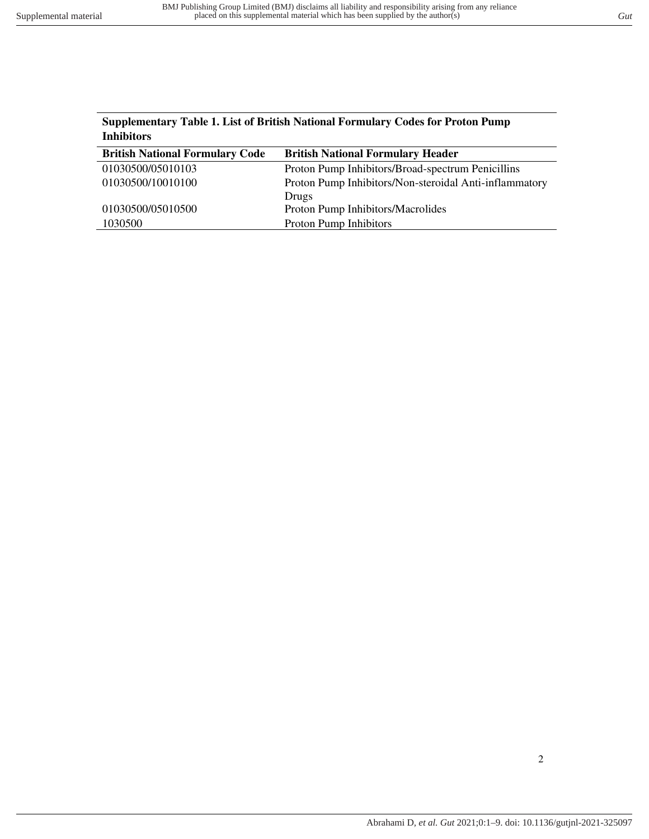<span id="page-1-0"></span>

| <b>Supplementary Table 1. List of British National Formulary Codes for Proton Pump</b> |  |
|----------------------------------------------------------------------------------------|--|
| <b>Inhibitors</b>                                                                      |  |
| Dultiple Mattersed Formerland Header<br>Duttal, Mattanal Equipment Cada                |  |

| <b>British National Formulary Header</b>               |
|--------------------------------------------------------|
| Proton Pump Inhibitors/Broad-spectrum Penicillins      |
| Proton Pump Inhibitors/Non-steroidal Anti-inflammatory |
| Drugs                                                  |
| Proton Pump Inhibitors/Macrolides                      |
| <b>Proton Pump Inhibitors</b>                          |
|                                                        |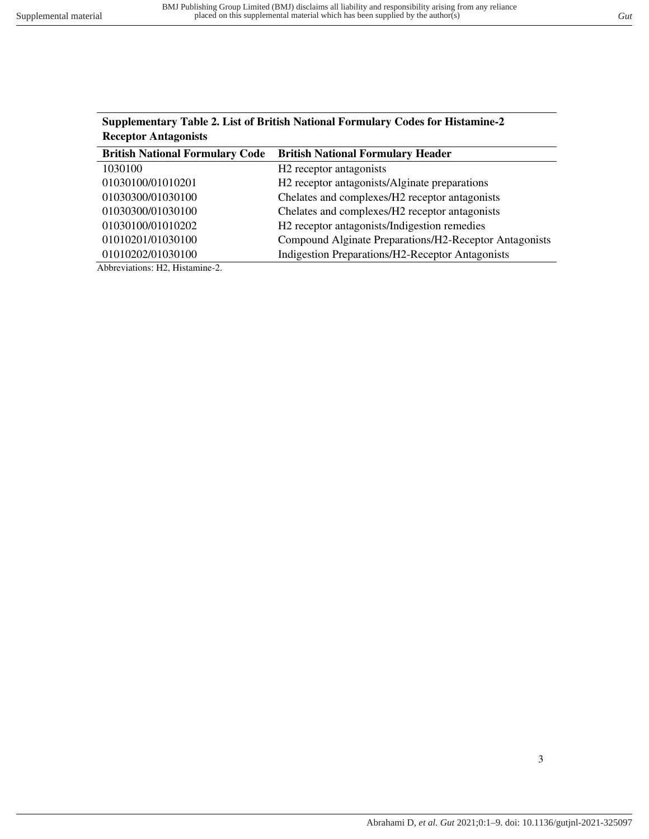| $\mathcal{O}$ applicationally a family 2. Eqst of Definish Foundational Politician $\mathcal{V}$ Cours for Thistanning-2<br><b>Receptor Antagonists</b> |                                                            |  |  |  |  |
|---------------------------------------------------------------------------------------------------------------------------------------------------------|------------------------------------------------------------|--|--|--|--|
| <b>British National Formulary Code</b>                                                                                                                  | <b>British National Formulary Header</b>                   |  |  |  |  |
| 1030100                                                                                                                                                 | H <sub>2</sub> receptor antagonists                        |  |  |  |  |
| 01030100/01010201                                                                                                                                       | H <sub>2</sub> receptor antagonists/Alginate preparations  |  |  |  |  |
| 01030300/01030100                                                                                                                                       | Chelates and complexes/H2 receptor antagonists             |  |  |  |  |
| 01030300/01030100                                                                                                                                       | Chelates and complexes/H <sub>2</sub> receptor antagonists |  |  |  |  |
| 01030100/01010202                                                                                                                                       | H <sub>2</sub> receptor antagonists/Indigestion remedies   |  |  |  |  |

01010201/01030100 Compound Alginate Preparations/H2-Receptor Antagonists

01010202/01030100 Indigestion Preparations/H2-Receptor Antagonists

<span id="page-2-0"></span>**Supplementary Table 2. List of British National Formulary Codes for Histamine-2** 

Abbreviations: H2, Histamine-2.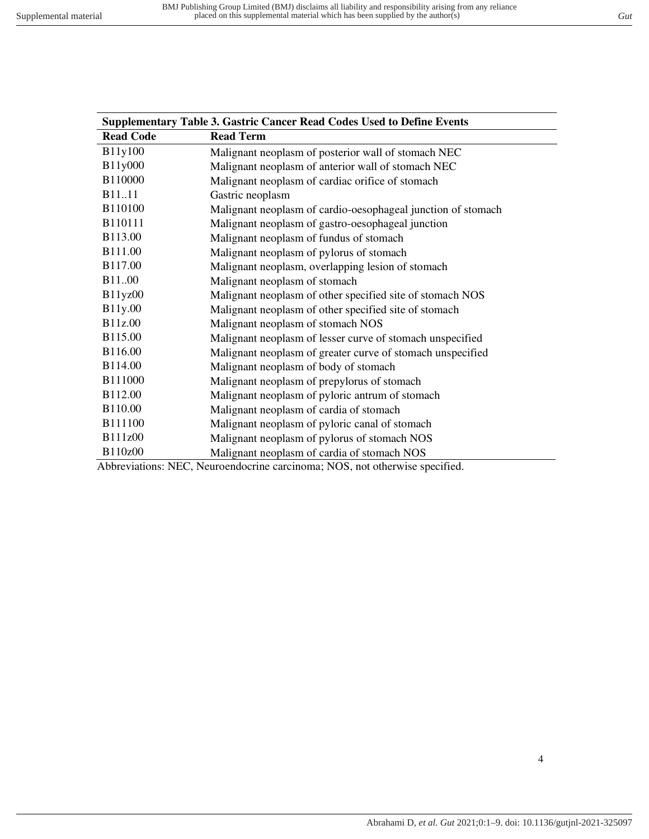<span id="page-3-0"></span>

| <b>Supplementary Table 3. Gastric Cancer Read Codes Used to Define Events</b> |                                                              |  |  |  |  |
|-------------------------------------------------------------------------------|--------------------------------------------------------------|--|--|--|--|
| <b>Read Code</b>                                                              | <b>Read Term</b>                                             |  |  |  |  |
| B11y100                                                                       | Malignant neoplasm of posterior wall of stomach NEC          |  |  |  |  |
| B11y000                                                                       | Malignant neoplasm of anterior wall of stomach NEC           |  |  |  |  |
| B110000                                                                       | Malignant neoplasm of cardiac orifice of stomach             |  |  |  |  |
| <b>B</b> 11.11                                                                | Gastric neoplasm                                             |  |  |  |  |
| B110100                                                                       | Malignant neoplasm of cardio-oesophageal junction of stomach |  |  |  |  |
| B110111                                                                       | Malignant neoplasm of gastro-oesophageal junction            |  |  |  |  |
| B113.00                                                                       | Malignant neoplasm of fundus of stomach                      |  |  |  |  |
| B111.00                                                                       | Malignant neoplasm of pylorus of stomach                     |  |  |  |  |
| <b>B117.00</b>                                                                | Malignant neoplasm, overlapping lesion of stomach            |  |  |  |  |
| <b>B</b> 11.00                                                                | Malignant neoplasm of stomach                                |  |  |  |  |
| B11yz00                                                                       | Malignant neoplasm of other specified site of stomach NOS    |  |  |  |  |
| B11y.00                                                                       | Malignant neoplasm of other specified site of stomach        |  |  |  |  |
| B11z.00                                                                       | Malignant neoplasm of stomach NOS                            |  |  |  |  |
| B115.00                                                                       | Malignant neoplasm of lesser curve of stomach unspecified    |  |  |  |  |
| B116.00                                                                       | Malignant neoplasm of greater curve of stomach unspecified   |  |  |  |  |
| B114.00                                                                       | Malignant neoplasm of body of stomach                        |  |  |  |  |
| B111000                                                                       | Malignant neoplasm of prepylorus of stomach                  |  |  |  |  |
| B112.00                                                                       | Malignant neoplasm of pyloric antrum of stomach              |  |  |  |  |
| B110.00                                                                       | Malignant neoplasm of cardia of stomach                      |  |  |  |  |
| B111100                                                                       | Malignant neoplasm of pyloric canal of stomach               |  |  |  |  |
| B111z00                                                                       | Malignant neoplasm of pylorus of stomach NOS                 |  |  |  |  |
| B110z00                                                                       | Malignant neoplasm of cardia of stomach NOS                  |  |  |  |  |

Abbreviations: NEC, Neuroendocrine carcinoma; NOS, not otherwise specified.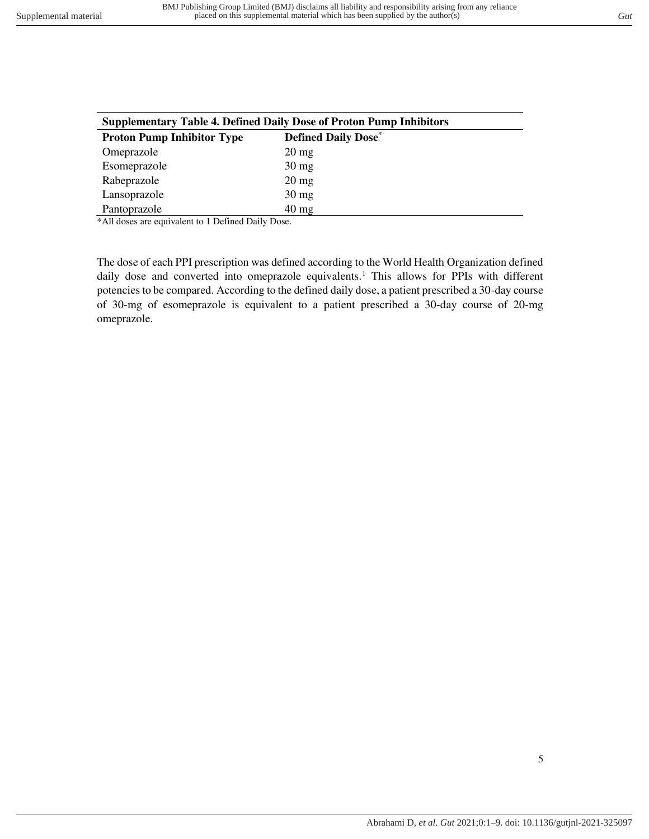<span id="page-4-0"></span>

| <b>Supplementary Table 4. Defined Daily Dose of Proton Pump Inhibitors</b> |                            |  |  |  |
|----------------------------------------------------------------------------|----------------------------|--|--|--|
| <b>Proton Pump Inhibitor Type</b>                                          | <b>Defined Daily Dose*</b> |  |  |  |
| Omeprazole                                                                 | $20 \,\mathrm{mg}$         |  |  |  |
| Esomeprazole                                                               | $30 \text{ mg}$            |  |  |  |
| Rabeprazole                                                                | $20 \text{ mg}$            |  |  |  |
| Lansoprazole                                                               | $30 \text{ mg}$            |  |  |  |
| Pantoprazole                                                               | $40 \text{ mg}$            |  |  |  |

\*All doses are equivalent to 1 Defined Daily Dose.

The dose of each PPI prescription was defined according to the World Health Organization defined daily dose and converted into omeprazole equivalents.<sup>1</sup> This allows for PPIs with different potencies to be compared. According to the defined daily dose, a patient prescribed a 30-day course of 30-mg of esomeprazole is equivalent to a patient prescribed a 30-day course of 20-mg omeprazole.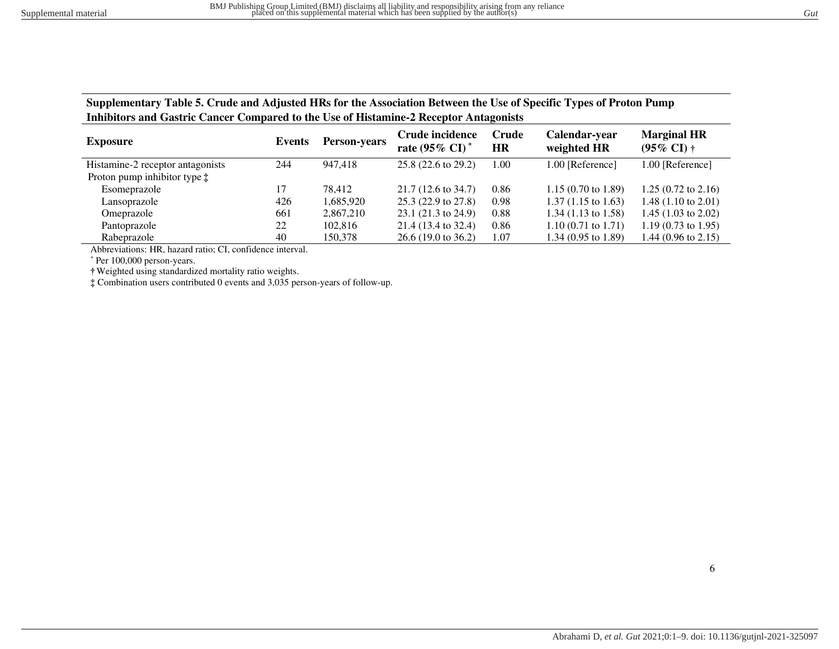**Supplementary Table 5. Crude and Adjusted HRs for the Association Between the Use of Specific Types of Proton Pump Inhibitors and Gastric Cancer Compared to the Use of Histamine-2 Receptor Antagonists**

| <b>Exposure</b>                       | Events | <b>Person-years</b> | Crude incidence<br>rate $(95\% \text{ CI})^*$ | Crude<br>HR | Calendar-year<br>weighted HR  | <b>Marginal HR</b><br>$(95\% \text{ CI})$ † |
|---------------------------------------|--------|---------------------|-----------------------------------------------|-------------|-------------------------------|---------------------------------------------|
| Histamine-2 receptor antagonists      | 244    | 947.418             | $25.8(22.6 \text{ to } 29.2)$                 | 1.00        | 1.00 [Reference]              | 1.00 [Reference]                            |
| Proton pump inhibitor type $\ddagger$ |        |                     |                                               |             |                               |                                             |
| Esomeprazole                          | ۱7     | 78.412              | $21.7(12.6 \text{ to } 34.7)$                 | 0.86        | $1.15(0.70 \text{ to } 1.89)$ | $1.25(0.72 \text{ to } 2.16)$               |
| Lansoprazole                          | 426    | 1,685,920           | $25.3(22.9 \text{ to } 27.8)$                 | 0.98        | $1.37(1.15 \text{ to } 1.63)$ | $1.48(1.10 \text{ to } 2.01)$               |
| Omeprazole                            | 661    | 2,867,210           | $23.1(21.3 \text{ to } 24.9)$                 | 0.88        | $1.34(1.13 \text{ to } 1.58)$ | 1.45 $(1.03 \text{ to } 2.02)$              |
| Pantoprazole                          | 22     | 102,816             | $21.4(13.4 \text{ to } 32.4)$                 | 0.86        | $1.10(0.71 \text{ to } 1.71)$ | 1.19 $(0.73 \text{ to } 1.95)$              |
| Rabeprazole                           | 40     | 150,378             | $26.6(19.0 \text{ to } 36.2)$                 | 1.07        | $1.34(0.95 \text{ to } 1.89)$ | 1.44 $(0.96 \text{ to } 2.15)$              |

Abbreviations: HR, hazard ratio; CI, confidence interval.

\* Per 100,000 person-years.

<span id="page-5-0"></span>**†**Weighted using standardized mortality ratio weights.

**‡** Combination users contributed 0 events and 3,035 person-years of follow-up.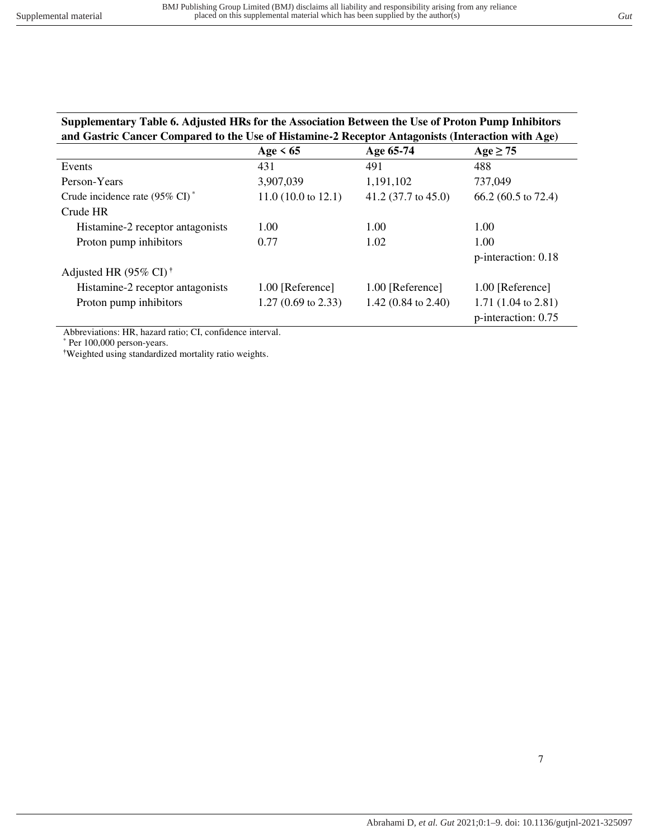<span id="page-6-0"></span>

| Supplementary Table 6. Adjusted HRs for the Association Between the Use of Proton Pump Inhibitors |
|---------------------------------------------------------------------------------------------------|
| and Gastric Cancer Compared to the Use of Histamine-2 Receptor Antagonists (Interaction with Age) |

|                                            | Age $\leq 65$                 | Age 65-74                      | <u>。</u><br>$Age \geq 75$      |
|--------------------------------------------|-------------------------------|--------------------------------|--------------------------------|
| Events                                     | 431                           | 491                            | 488                            |
| Person-Years                               | 3,907,039                     | 1,191,102                      | 737,049                        |
| Crude incidence rate $(95\% \text{ CI})^*$ | $11.0(10.0 \text{ to } 12.1)$ | $41.2$ (37.7 to 45.0)          | 66.2 (60.5 to 72.4)            |
| Crude HR                                   |                               |                                |                                |
| Histamine-2 receptor antagonists           | 1.00                          | 1.00                           | 1.00                           |
| Proton pump inhibitors                     | 0.77                          | 1.02                           | 1.00                           |
|                                            |                               |                                | p-interaction: 0.18            |
| Adjusted HR (95% CI) <sup>†</sup>          |                               |                                |                                |
| Histamine-2 receptor antagonists           | 1.00 [Reference]              | 1.00 [Reference]               | 1.00 [Reference]               |
| Proton pump inhibitors                     | $1.27(0.69 \text{ to } 2.33)$ | 1.42 $(0.84 \text{ to } 2.40)$ | 1.71 $(1.04 \text{ to } 2.81)$ |
|                                            |                               |                                | p-interaction: 0.75            |

Abbreviations: HR, hazard ratio; CI, confidence interval.

\* Per 100,000 person-years.

**†**Weighted using standardized mortality ratio weights.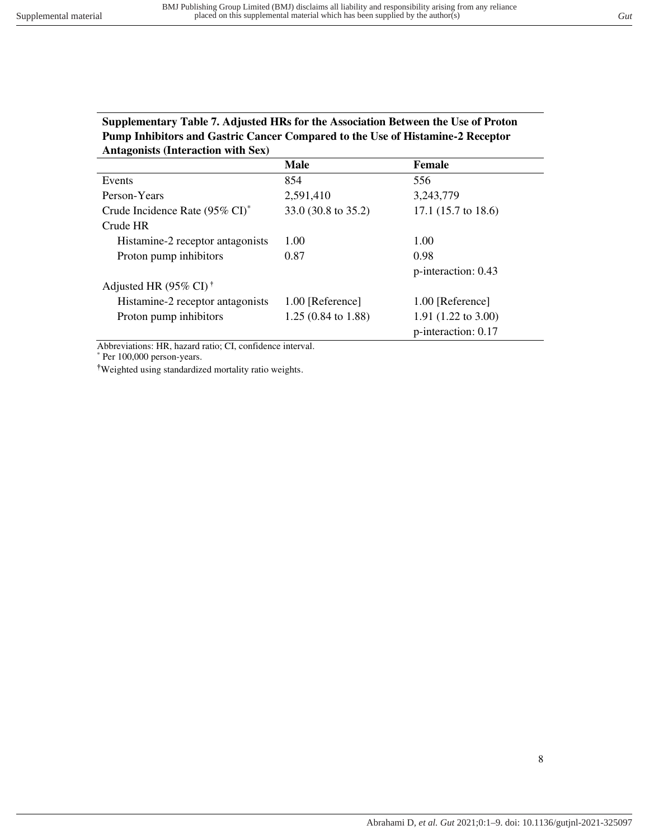# <span id="page-7-0"></span>**Supplementary Table 7. Adjusted HRs for the Association Between the Use of Proton Pump Inhibitors and Gastric Cancer Compared to the Use of Histamine-2 Receptor Antagonists (Interaction with Sex)**

|                                            | <b>Male</b>                   | <b>Female</b>                  |
|--------------------------------------------|-------------------------------|--------------------------------|
| Events                                     | 854                           | 556                            |
| Person-Years                               | 2,591,410                     | 3,243,779                      |
| Crude Incidence Rate $(95\% \text{ CI})^*$ | 33.0 (30.8 to 35.2)           | 17.1 $(15.7 \text{ to } 18.6)$ |
| Crude HR                                   |                               |                                |
| Histamine-2 receptor antagonists           | 1.00                          | 1.00                           |
| Proton pump inhibitors                     | 0.87                          | 0.98                           |
|                                            |                               | p-interaction: 0.43            |
| Adjusted HR $(95\% \text{ CI})^{\dagger}$  |                               |                                |
| Histamine-2 receptor antagonists           | 1.00 [Reference]              | 1.00 [Reference]               |
| Proton pump inhibitors                     | $1.25(0.84 \text{ to } 1.88)$ | 1.91 $(1.22 \text{ to } 3.00)$ |
|                                            |                               | p-interaction: 0.17            |

Abbreviations: HR, hazard ratio; CI, confidence interval.

\* Per 100,000 person-years.

**†**Weighted using standardized mortality ratio weights.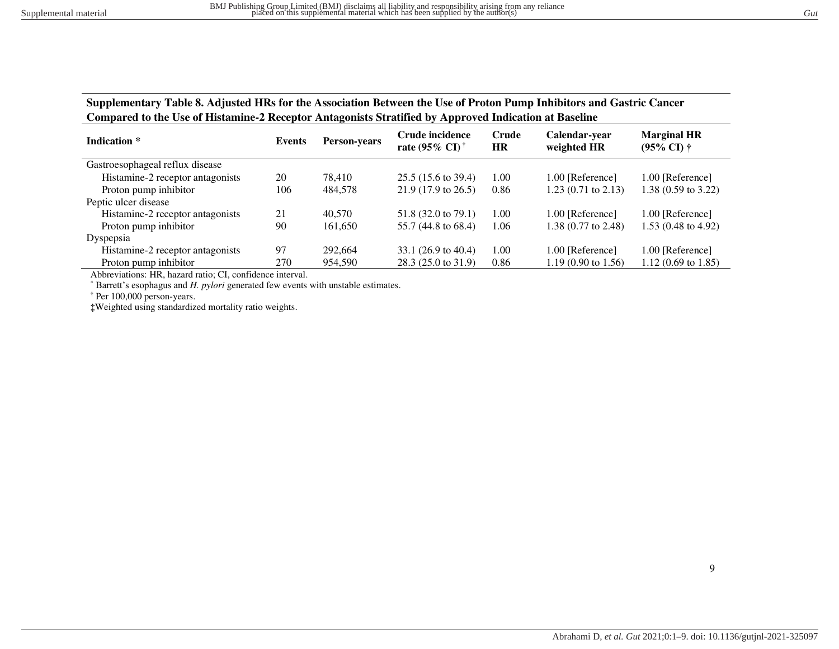**Supplementary Table 8. Adjusted HRs for the Association Between the Use of Proton Pump Inhibitors and Gastric Cancer Compared to the Use of Histamine-2 Receptor Antagonists Stratified by Approved Indication at Baseline** 

| Indication *                     | Events | <b>Person-years</b> | Crude incidence<br>rate (95% CI) <sup>†</sup> | Crude<br><b>HR</b> | Calendar-year<br>weighted HR   | <b>Marginal HR</b><br>$(95\% \text{ C}I) \dagger$ |
|----------------------------------|--------|---------------------|-----------------------------------------------|--------------------|--------------------------------|---------------------------------------------------|
| Gastroesophageal reflux disease  |        |                     |                                               |                    |                                |                                                   |
| Histamine-2 receptor antagonists | 20     | 78.410              | $25.5(15.6 \text{ to } 39.4)$                 | 1.00               | 1.00 [Reference]               | 1.00 [Reference]                                  |
| Proton pump inhibitor            | 106    | 484.578             | $21.9(17.9 \text{ to } 26.5)$                 | 0.86               | $1.23$ (0.71 to 2.13)          | 1.38 (0.59 to 3.22)                               |
| Peptic ulcer disease             |        |                     |                                               |                    |                                |                                                   |
| Histamine-2 receptor antagonists | 21     | 40.570              | $51.8$ (32.0 to 79.1)                         | 1.00               | 1.00 [Reference]               | 1.00 [Reference]                                  |
| Proton pump inhibitor            | 90     | 161,650             | 55.7 (44.8 to 68.4)                           | 1.06               | 1.38 $(0.77 \text{ to } 2.48)$ | 1.53 $(0.48 \text{ to } 4.92)$                    |
| Dyspepsia                        |        |                     |                                               |                    |                                |                                                   |
| Histamine-2 receptor antagonists | 97     | 292,664             | 33.1 $(26.9 \text{ to } 40.4)$                | 1.00               | 1.00 [Reference]               | 1.00 [Reference]                                  |
| Proton pump inhibitor            | 270    | 954.590             | $28.3(25.0 \text{ to } 31.9)$                 | 0.86               | $1.19(0.90 \text{ to } 1.56)$  | $1.12(0.69 \text{ to } 1.85)$                     |

<span id="page-8-0"></span>Abbreviations: HR, hazard ratio; CI, confidence interval.

\* Barrett's esophagus and *H. pylori* generated few events with unstable estimates.

† Per 100,000 person-years.

**‡**Weighted using standardized mortality ratio weights.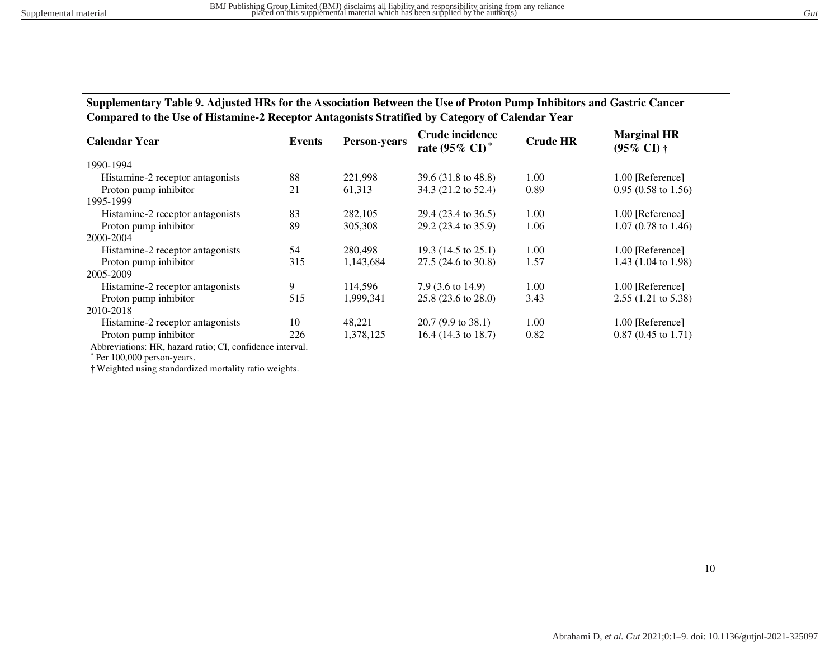**Supplementary Table 9. Adjusted HRs for the Association Between the Use of Proton Pump Inhibitors and Gastric Cancer Compared to the Use of Histamine-2 Receptor Antagonists Stratified by Category of Calendar Year** 

| <b>Calendar Year</b>                  | <b>Events</b> | Person-years | Crude incidence<br>rate $(95\% \text{ CI})^*$ | <b>Crude HR</b> | <b>Marginal HR</b><br>$(95\% \text{ CI})$ † |
|---------------------------------------|---------------|--------------|-----------------------------------------------|-----------------|---------------------------------------------|
| 1990-1994                             |               |              |                                               |                 |                                             |
| Histamine-2 receptor antagonists      | 88            | 221,998      | 39.6 (31.8 to 48.8)                           | 1.00            | 1.00 [Reference]                            |
| Proton pump inhibitor                 | 21            | 61,313       | 34.3 (21.2 to 52.4)                           | 0.89            | $0.95(0.58 \text{ to } 1.56)$               |
| 1995-1999                             |               |              |                                               |                 |                                             |
| Histamine-2 receptor antagonists      | 83            | 282,105      | 29.4 (23.4 to 36.5)                           | 1.00            | 1.00 [Reference]                            |
| Proton pump inhibitor                 | 89            | 305,308      | 29.2 (23.4 to 35.9)                           | 1.06            | $1.07(0.78 \text{ to } 1.46)$               |
| 2000-2004                             |               |              |                                               |                 |                                             |
| Histamine-2 receptor antagonists      | 54            | 280,498      | 19.3 $(14.5 \text{ to } 25.1)$                | 1.00            | 1.00 [Reference]                            |
| Proton pump inhibitor                 | 315           | 1,143,684    | $27.5(24.6 \text{ to } 30.8)$                 | 1.57            | 1.43 (1.04 to 1.98)                         |
| 2005-2009                             |               |              |                                               |                 |                                             |
| Histamine-2 receptor antagonists      | 9             | 114.596      | 7.9 $(3.6 \text{ to } 14.9)$                  | 1.00            | 1.00 [Reference]                            |
| Proton pump inhibitor                 | 515           | 1.999.341    | $25.8(23.6 \text{ to } 28.0)$                 | 3.43            | $2.55(1.21 \text{ to } 5.38)$               |
| 2010-2018                             |               |              |                                               |                 |                                             |
| Histamine-2 receptor antagonists      | 10            | 48,221       | $20.7(9.9 \text{ to } 38.1)$                  | 1.00            | 1.00 [Reference]                            |
| Proton pump inhibitor<br>$\mathbf{r}$ | 226           | 1,378,125    | 16.4 (14.3 to 18.7)                           | 0.82            | $0.87(0.45 \text{ to } 1.71)$               |

<span id="page-9-0"></span>Abbreviations: HR, hazard ratio; CI, confidence interval.

\* Per 100,000 person-years.

**†**Weighted using standardized mortality ratio weights.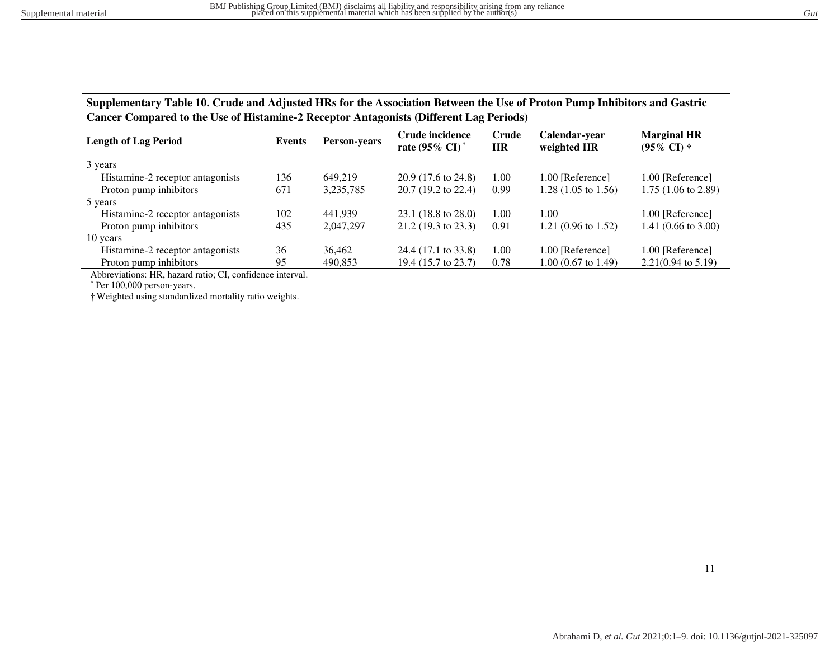**Supplementary Table 10. Crude and Adjusted HRs for the Association Between the Use of Proton Pump Inhibitors and Gastric Cancer Compared to the Use of Histamine-2 Receptor Antagonists (Different Lag Periods)**

| <b>Length of Lag Period</b>      | Events | <b>Person-years</b> | Crude incidence<br>rate $(95\% \text{ CI})^*$ | Crude<br><b>HR</b> | Calendar-year<br>weighted HR   | <b>Marginal HR</b><br>$(95\% \text{ CI}) \dagger$ |  |
|----------------------------------|--------|---------------------|-----------------------------------------------|--------------------|--------------------------------|---------------------------------------------------|--|
| 3 years                          |        |                     |                                               |                    |                                |                                                   |  |
| Histamine-2 receptor antagonists | 136    | 649.219             | $20.9(17.6 \text{ to } 24.8)$                 | 1.00               | 1.00 [Reference]               | 1.00 [Reference]                                  |  |
| Proton pump inhibitors           | 671    | 3,235,785           | $20.7(19.2 \text{ to } 22.4)$                 | 0.99               | 1.28 $(1.05 \text{ to } 1.56)$ | $1.75(1.06 \text{ to } 2.89)$                     |  |
| 5 years                          |        |                     |                                               |                    |                                |                                                   |  |
| Histamine-2 receptor antagonists | 102    | 441.939             | $23.1(18.8 \text{ to } 28.0)$                 | 1.00               | 1.00                           | 1.00 [Reference]                                  |  |
| Proton pump inhibitors           | 435    | 2.047.297           | $21.2(19.3 \text{ to } 23.3)$                 | 0.91               | 1.21 (0.96 to 1.52)            | 1.41 $(0.66 \text{ to } 3.00)$                    |  |
| 10 years                         |        |                     |                                               |                    |                                |                                                   |  |
| Histamine-2 receptor antagonists | 36     | 36,462              | 24.4 (17.1 to 33.8)                           | 1.00               | 1.00 [Reference]               | 1.00 [Reference]                                  |  |
| Proton pump inhibitors           | 95     | 490,853             | 19.4 (15.7 to 23.7)                           | 0.78               | $1.00$ (0.67 to 1.49)          | $2.21(0.94 \text{ to } 5.19)$                     |  |

<span id="page-10-0"></span>Abbreviations: HR, hazard ratio; CI, confidence interval.

\* Per 100,000 person-years.

**†**Weighted using standardized mortality ratio weights.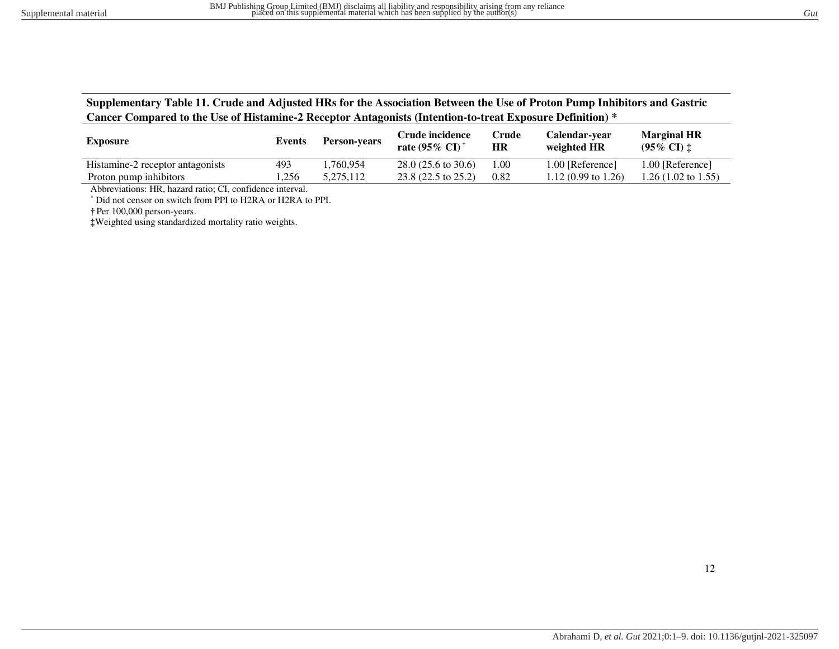| Supplementary Table 11. Crude and Adjusted HRs for the Association Between the Use of Proton Pump Inhibitors and Gastric |
|--------------------------------------------------------------------------------------------------------------------------|
| Cancer Compared to the Use of Histamine-2 Receptor Antagonists (Intention-to-treat Exposure Definition) *                |

| <b>Exposure</b>                  | Events | <b>Person-vears</b> | Crude incidence<br>rate $(95\% \text{ CI})^{\dagger}$ | Crude<br>HR | Calendar-year<br>weighted HR   | <b>Marginal HR</b><br>$(95\% \text{ CI})$ $\ddagger$ |
|----------------------------------|--------|---------------------|-------------------------------------------------------|-------------|--------------------------------|------------------------------------------------------|
| Histamine-2 receptor antagonists | 493    | ۔54,760,954         | $28.0(25.6 \text{ to } 30.6)$                         | 1.00        | 1.00 [Reference]               | 1.00 [Reference]                                     |
| Proton pump inhibitors           | .256   | 5.275.112           | $23.8(22.5 \text{ to } 25.2)$                         | 0.82        | 1.12 $(0.99 \text{ to } 1.26)$ | 1.26 (1.02 to 1.55)                                  |

Abbreviations: HR, hazard ratio; CI, confidence interval.

\* Did not censor on switch from PPI to H2RA or H2RA to PPI.

**†** Per 100,000 person-years.

<span id="page-11-0"></span>**‡**Weighted using standardized mortality ratio weights.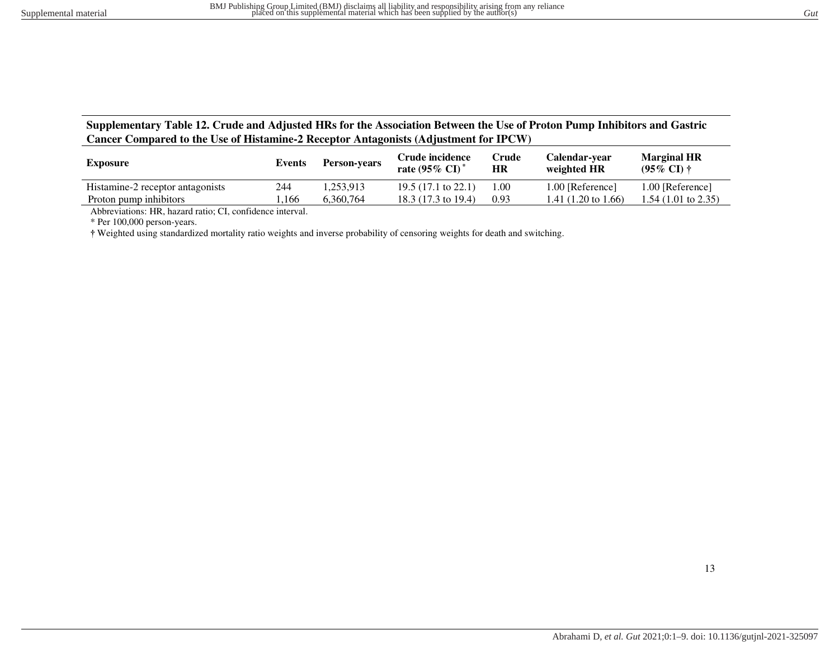# **Supplementary Table 12. Crude and Adjusted HRs for the Association Between the Use of Proton Pump Inhibitors and Gastric Cancer Compared to the Use of Histamine-2 Receptor Antagonists (Adjustment for IPCW)**

| <b>Exposure</b>                  | Events | <b>Person-years</b> | Crude incidence<br>rate $(95\% \text{ CI})^*$ | Crude<br>HR | Calendar-year<br>weighted HR   | <b>Marginal HR</b><br>$(95\% \text{ CI}) \dagger$ |
|----------------------------------|--------|---------------------|-----------------------------------------------|-------------|--------------------------------|---------------------------------------------------|
| Histamine-2 receptor antagonists | 244    | .253.913            | 19.5 $(17.1 \text{ to } 22.1)$                | 1.00        | 1.00 [Reference]               | 1.00 [Reference]                                  |
| Proton pump inhibitors           | .166   | 6.360.764           | 18.3 (17.3 to 19.4)                           | 0.93        | 1.41 $(1.20 \text{ to } 1.66)$ | $1.54(1.01 \text{ to } 2.35)$                     |
| $\sim$<br>$-$                    |        |                     |                                               |             |                                |                                                   |

Abbreviations: HR, hazard ratio; CI, confidence interval.

\* Per 100,000 person-years.

<span id="page-12-0"></span>**†** Weighted using standardized mortality ratio weights and inverse probability of censoring weights for death and switching.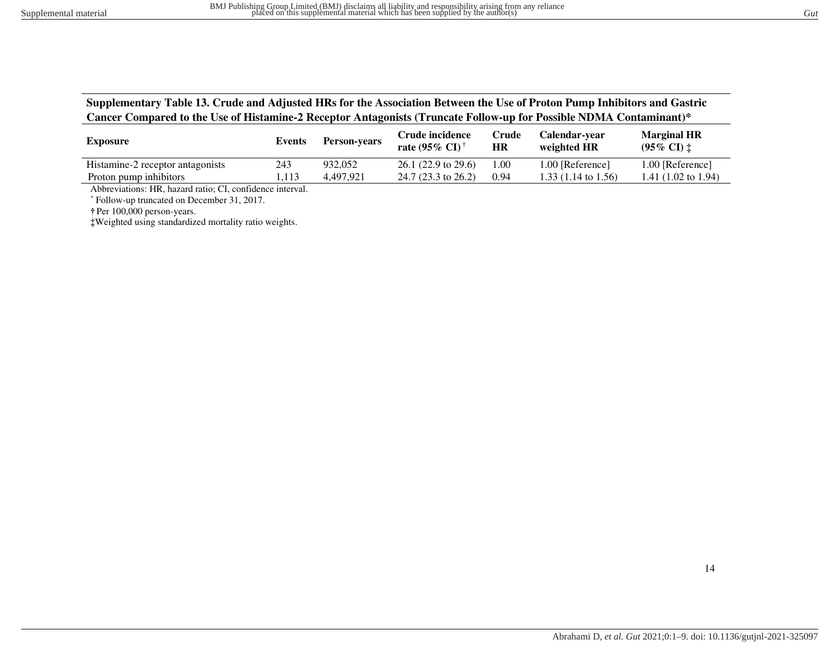## **Supplementary Table 13. Crude and Adjusted HRs for the Association Between the Use of Proton Pump Inhibitors and Gastric Cancer Compared to the Use of Histamine-2 Receptor Antagonists (Truncate Follow-up for Possible NDMA Contaminant)\***

| <b>Exposure</b>                  | Events | <b>Person-vears</b> | Crude incidence<br>rate $(95\% \text{ CI})^{\dagger}$ | Crude<br>HR | Calendar-vear<br>weighted HR   | <b>Marginal HR</b><br>$(95\% \text{ CI})$ $\ddagger$ |
|----------------------------------|--------|---------------------|-------------------------------------------------------|-------------|--------------------------------|------------------------------------------------------|
| Histamine-2 receptor antagonists | 243    | 932,052             | $26.1(22.9 \text{ to } 29.6)$                         | 1.00        | 1.00 [Reference]               | 1.00 [Reference]                                     |
| Proton pump inhibitors           | 1.113  | 4.497.921           | $24.7(23.3 \text{ to } 26.2)$                         | 0.94        | 1.33 $(1.14 \text{ to } 1.56)$ | 1.41 $(1.02 \text{ to } 1.94)$                       |

Abbreviations: HR, hazard ratio; CI, confidence interval.

\* Follow-up truncated on December 31, 2017.

**†** Per 100,000 person-years.

<span id="page-13-0"></span>**‡**Weighted using standardized mortality ratio weights.

14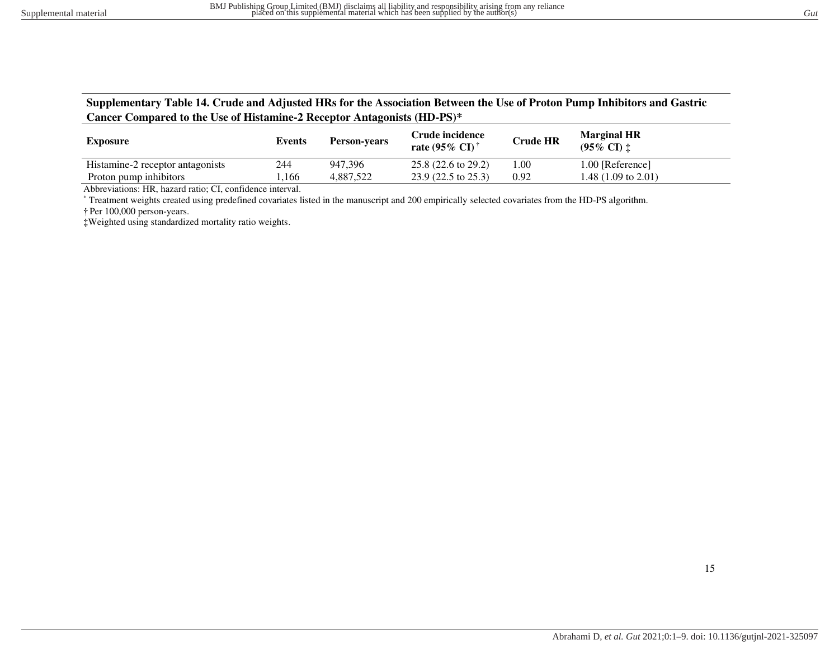# **Supplementary Table 14. Crude and Adjusted HRs for the Association Between the Use of Proton Pump Inhibitors and Gastric Cancer Compared to the Use of Histamine-2 Receptor Antagonists (HD-PS)\***

| <b>Exposure</b>                  | Events | <b>Person-vears</b> | Crude incidence<br>rate $(95\% \text{ CI})$ | <b>Crude HR</b> | <b>Marginal HR</b><br>$(95\% \text{ CI})$ $\ddagger$ |
|----------------------------------|--------|---------------------|---------------------------------------------|-----------------|------------------------------------------------------|
| Histamine-2 receptor antagonists | 244    | 947.396             | $25.8(22.6 \text{ to } 29.2)$               | .00             | 1.00 [Reference]                                     |
| Proton pump inhibitors           | .166   | 4.887.522           | $23.9(22.5 \text{ to } 25.3)$               | 0.92            | 1.48 (1.09 to 2.01)                                  |

Abbreviations: HR, hazard ratio; CI, confidence interval.

\* Treatment weights created using predefined covariates listed in the manuscript and 200 empirically selected covariates from the HD-PS algorithm. **†** Per 100,000 person-years.

<span id="page-14-0"></span>**‡**Weighted using standardized mortality ratio weights.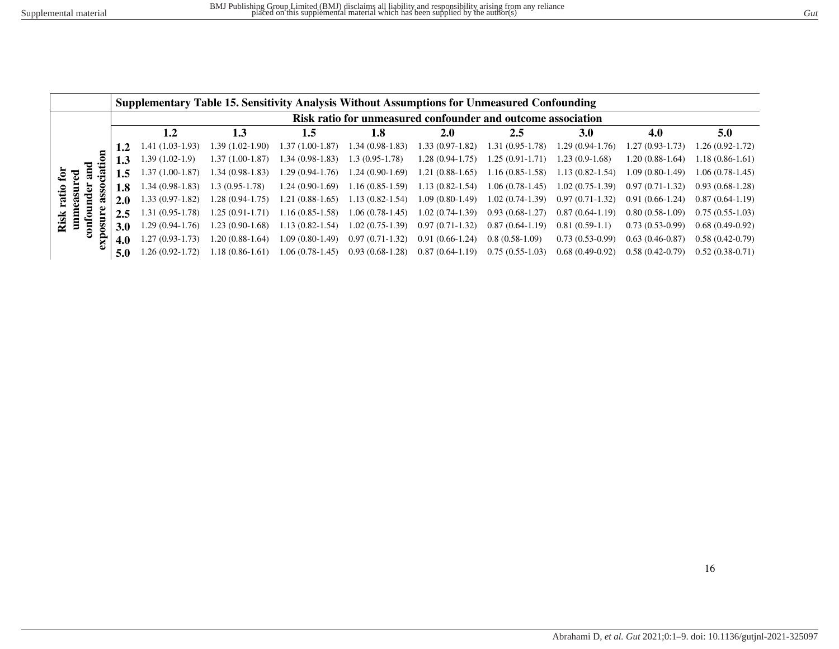<span id="page-15-0"></span>

|                  |                                                              | Supplementary Table 15. Sensitivity Analysis Without Assumptions for Unmeasured Confounding |                   |                   |                     |                     |                     |                   |                     |                   |                   |  |  |  |
|------------------|--------------------------------------------------------------|---------------------------------------------------------------------------------------------|-------------------|-------------------|---------------------|---------------------|---------------------|-------------------|---------------------|-------------------|-------------------|--|--|--|
|                  | Risk ratio for unmeasured confounder and outcome association |                                                                                             |                   |                   |                     |                     |                     |                   |                     |                   |                   |  |  |  |
|                  |                                                              |                                                                                             | 1.2               | 1.3               | 1.5                 | 1.8                 | 2.0                 | 2.5               | 3.0                 | 4.0               | 5.0               |  |  |  |
|                  |                                                              |                                                                                             | 1.41 (1.03-1.93)  | .39 (1.02-1.90)   | 1.37 (1.00-1.87)    | $1.34(0.98-1.83)$   | $1.33(0.97-1.82)$   | $1.31(0.95-1.78)$ | $1.29(0.94-1.76)$   | $1.27(0.93-1.73)$ | $1.26(0.92-1.72)$ |  |  |  |
| ᇰ                |                                                              | 1.3                                                                                         | $1.39(1.02-1.9)$  | $1.37(1.00-1.87)$ | $1.34(0.98-1.83)$   | $1.3(0.95-1.78)$    | $1.28(0.94-1.75)$   | $1.25(0.91-1.71)$ | $1.23(0.9-1.68)$    | $1.20(0.88-1.64)$ | $1.18(0.86-1.61)$ |  |  |  |
| ಕ<br>్లై         |                                                              | 1.5                                                                                         | $1.37(1.00-1.87)$ | $1.34(0.98-1.83)$ | $1.29(0.94-1.76)$   | $1.24(0.90-1.69)$   | $1.21(0.88-1.65)$   | $1.16(0.85-1.58)$ | $1.13(0.82 - 1.54)$ | $1.09(0.80-1.49)$ | $1.06(0.78-1.45)$ |  |  |  |
|                  |                                                              | 1.8                                                                                         | $1.34(0.98-1.83)$ | $1.3(0.95-1.78)$  | $1.24(0.90-1.69)$   | $1.16(0.85-1.59)$   | $1.13(0.82 - 1.54)$ | $1.06(0.78-1.45)$ | $1.02(0.75-1.39)$   | $0.97(0.71-1.32)$ | $0.93(0.68-1.28)$ |  |  |  |
|                  |                                                              | 2.0                                                                                         | $1.33(0.97-1.82)$ | $1.28(0.94-1.75)$ | $1.21(0.88-1.65)$   | $1.13(0.82 - 1.54)$ | $1.09(0.80-1.49)$   | $1.02(0.74-1.39)$ | $0.97(0.71-1.32)$   | $0.91(0.66-1.24)$ | $0.87(0.64-1.19)$ |  |  |  |
| 톱                |                                                              | 2.5                                                                                         | $1.31(0.95-1.78)$ | $1.25(0.91-1.71)$ | $1.16(0.85-1.58)$   | $1.06(0.78-1.45)$   | $1.02(0.74-1.39)$   | $0.93(0.68-1.27)$ | $0.87(0.64-1.19)$   | $0.80(0.58-1.09)$ | $0.75(0.55-1.03)$ |  |  |  |
| Risk<br>Ξ<br>ខ្ល |                                                              | 3.0                                                                                         | $1.29(0.94-1.76)$ | $1.23(0.90-1.68)$ | $1.13(0.82 - 1.54)$ | $1.02(0.75-1.39)$   | $0.97(0.71-1.32)$   | $0.87(0.64-1.19)$ | $0.81(0.59-1.1)$    | $0.73(0.53-0.99)$ | $0.68(0.49-0.92)$ |  |  |  |
|                  |                                                              | 4.0                                                                                         | 1.27 (0.93-1.73)  | $.20(0.88-1.64)$  | 1.09 (0.80-1.49)    | $0.97(0.71-1.32)$   | $0.91(0.66-1.24)$   | $0.8(0.58-1.09)$  | $0.73(0.53-0.99)$   | $0.63(0.46-0.87)$ | $0.58(0.42-0.79)$ |  |  |  |
|                  |                                                              | 5.0                                                                                         | 1.26 (0.92-1.72)  | $1.18(0.86-1.61)$ | 1.06 (0.78-1.45)    | $0.93(0.68-1.28)$   | $0.87(0.64-1.19)$   | $0.75(0.55-1.03)$ | $0.68(0.49-0.92)$   | $0.58(0.42-0.79)$ | $0.52(0.38-0.71)$ |  |  |  |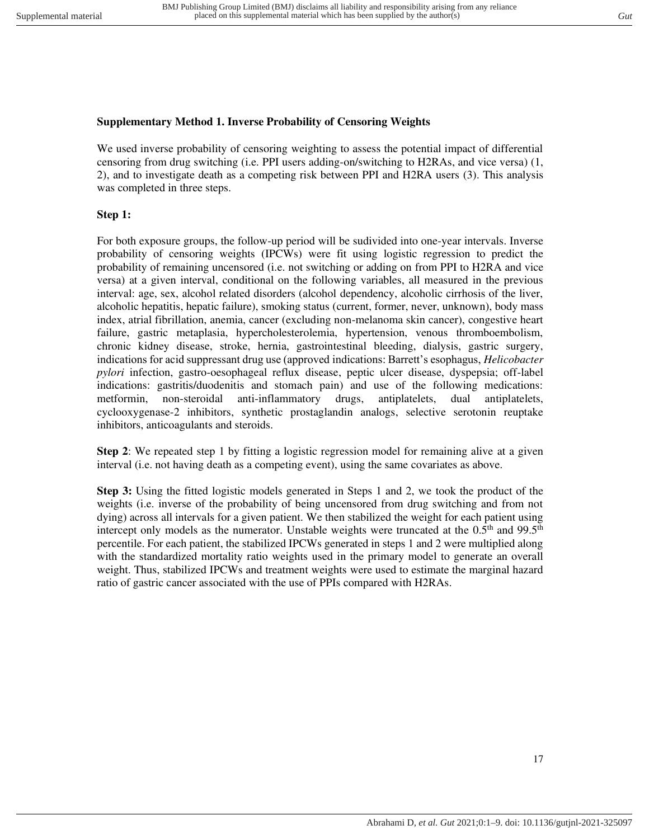# <span id="page-16-0"></span>**Supplementary Method 1. Inverse Probability of Censoring Weights**

We used inverse probability of censoring weighting to assess the potential impact of differential censoring from drug switching (i.e. PPI users adding-on/switching to H2RAs, and vice versa) (1, 2), and to investigate death as a competing risk between PPI and H2RA users (3). This analysis was completed in three steps.

# **Step 1:**

For both exposure groups, the follow-up period will be sudivided into one-year intervals. Inverse probability of censoring weights (IPCWs) were fit using logistic regression to predict the probability of remaining uncensored (i.e. not switching or adding on from PPI to H2RA and vice versa) at a given interval, conditional on the following variables, all measured in the previous interval: age, sex, alcohol related disorders (alcohol dependency, alcoholic cirrhosis of the liver, alcoholic hepatitis, hepatic failure), smoking status (current, former, never, unknown), body mass index, atrial fibrillation, anemia, cancer (excluding non-melanoma skin cancer), congestive heart failure, gastric metaplasia, hypercholesterolemia, hypertension, venous thromboembolism, chronic kidney disease, stroke, hernia, gastrointestinal bleeding, dialysis, gastric surgery, indications for acid suppressant drug use (approved indications: Barrett's esophagus, *Helicobacter pylori* infection, gastro-oesophageal reflux disease, peptic ulcer disease, dyspepsia; off-label indications: gastritis/duodenitis and stomach pain) and use of the following medications: metformin, non-steroidal anti-inflammatory drugs, antiplatelets, dual antiplatelets, cyclooxygenase-2 inhibitors, synthetic prostaglandin analogs, selective serotonin reuptake inhibitors, anticoagulants and steroids.

**Step 2**: We repeated step 1 by fitting a logistic regression model for remaining alive at a given interval (i.e. not having death as a competing event), using the same covariates as above.

**Step 3:** Using the fitted logistic models generated in Steps 1 and 2, we took the product of the weights (i.e. inverse of the probability of being uncensored from drug switching and from not dying) across all intervals for a given patient. We then stabilized the weight for each patient using intercept only models as the numerator. Unstable weights were truncated at the 0.5<sup>th</sup> and 99.5<sup>th</sup> percentile. For each patient, the stabilized IPCWs generated in steps 1 and 2 were multiplied along with the standardized mortality ratio weights used in the primary model to generate an overall weight. Thus, stabilized IPCWs and treatment weights were used to estimate the marginal hazard ratio of gastric cancer associated with the use of PPIs compared with H2RAs.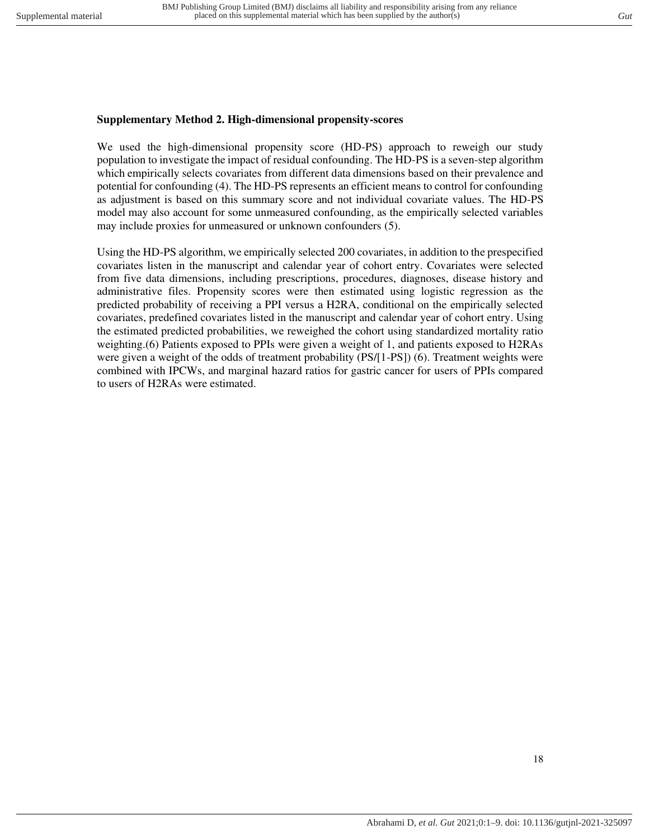# <span id="page-17-0"></span>**Supplementary Method 2. High-dimensional propensity-scores**

We used the high-dimensional propensity score (HD-PS) approach to reweigh our study population to investigate the impact of residual confounding. The HD-PS is a seven-step algorithm which empirically selects covariates from different data dimensions based on their prevalence and potential for confounding (4). The HD-PS represents an efficient means to control for confounding as adjustment is based on this summary score and not individual covariate values. The HD-PS model may also account for some unmeasured confounding, as the empirically selected variables may include proxies for unmeasured or unknown confounders (5).

Using the HD-PS algorithm, we empirically selected 200 covariates, in addition to the prespecified covariates listen in the manuscript and calendar year of cohort entry. Covariates were selected from five data dimensions, including prescriptions, procedures, diagnoses, disease history and administrative files. Propensity scores were then estimated using logistic regression as the predicted probability of receiving a PPI versus a H2RA, conditional on the empirically selected covariates, predefined covariates listed in the manuscript and calendar year of cohort entry. Using the estimated predicted probabilities, we reweighed the cohort using standardized mortality ratio weighting.(6) Patients exposed to PPIs were given a weight of 1, and patients exposed to H2RAs were given a weight of the odds of treatment probability (PS/[1-PS]) (6). Treatment weights were combined with IPCWs, and marginal hazard ratios for gastric cancer for users of PPIs compared to users of H2RAs were estimated.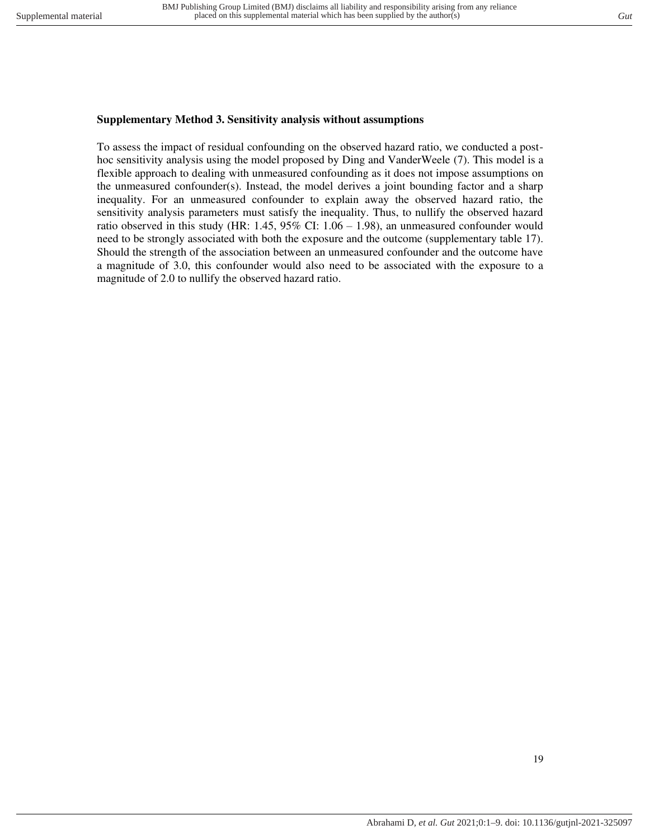### <span id="page-18-0"></span>**Supplementary Method 3. Sensitivity analysis without assumptions**

To assess the impact of residual confounding on the observed hazard ratio, we conducted a posthoc sensitivity analysis using the model proposed by Ding and VanderWeele (7). This model is a flexible approach to dealing with unmeasured confounding as it does not impose assumptions on the unmeasured confounder(s). Instead, the model derives a joint bounding factor and a sharp inequality. For an unmeasured confounder to explain away the observed hazard ratio, the sensitivity analysis parameters must satisfy the inequality. Thus, to nullify the observed hazard ratio observed in this study (HR: 1.45, 95% CI: 1.06 – 1.98), an unmeasured confounder would need to be strongly associated with both the exposure and the outcome (supplementary table 17). Should the strength of the association between an unmeasured confounder and the outcome have a magnitude of 3.0, this confounder would also need to be associated with the exposure to a magnitude of 2.0 to nullify the observed hazard ratio.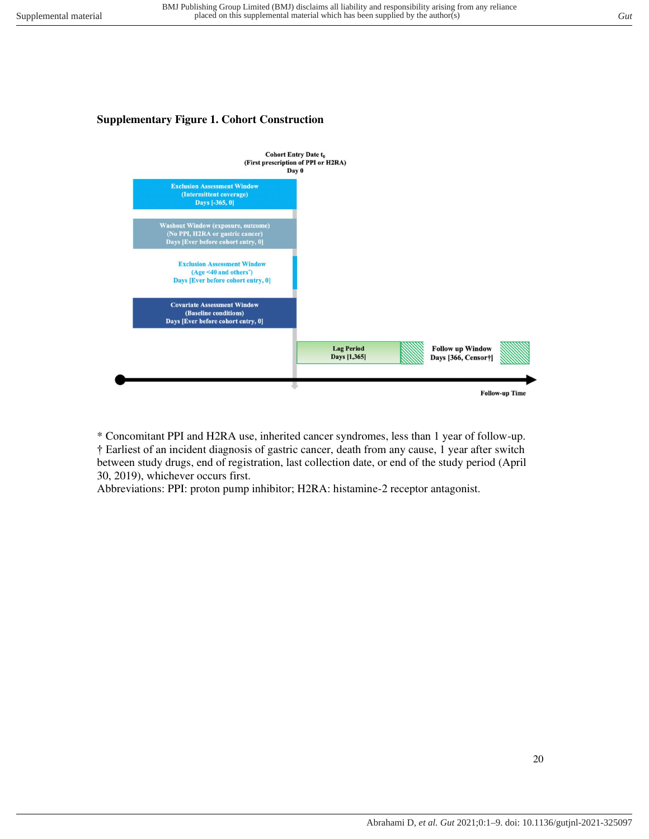# <span id="page-19-0"></span>**Supplementary Figure 1. Cohort Construction**



\* Concomitant PPI and H2RA use, inherited cancer syndromes, less than 1 year of follow-up. † Earliest of an incident diagnosis of gastric cancer, death from any cause, 1 year after switch between study drugs, end of registration, last collection date, or end of the study period (April 30, 2019), whichever occurs first.

Abbreviations: PPI: proton pump inhibitor; H2RA: histamine-2 receptor antagonist.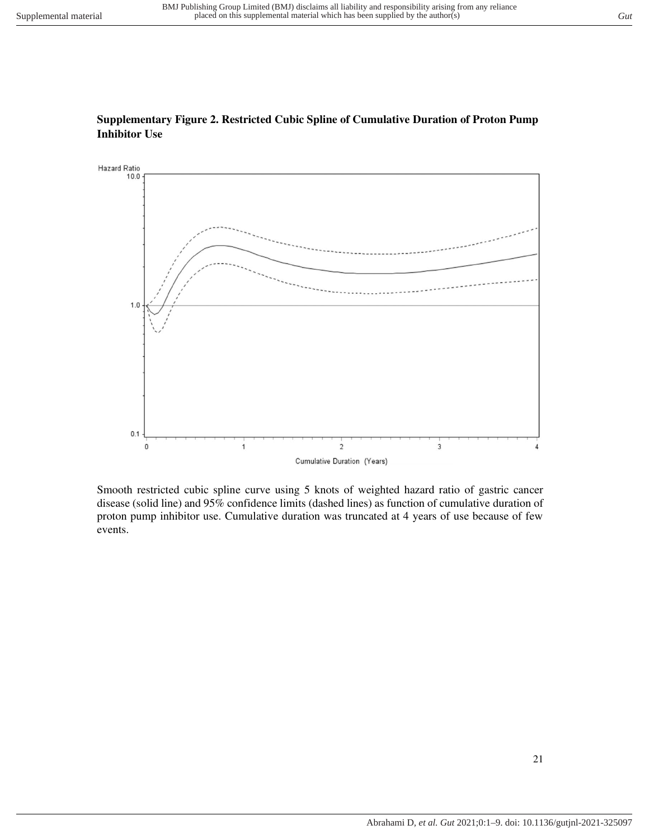

## <span id="page-20-0"></span>**Supplementary Figure 2. Restricted Cubic Spline of Cumulative Duration of Proton Pump Inhibitor Use**

Smooth restricted cubic spline curve using 5 knots of weighted hazard ratio of gastric cancer disease (solid line) and 95% confidence limits (dashed lines) as function of cumulative duration of proton pump inhibitor use. Cumulative duration was truncated at 4 years of use because of few events.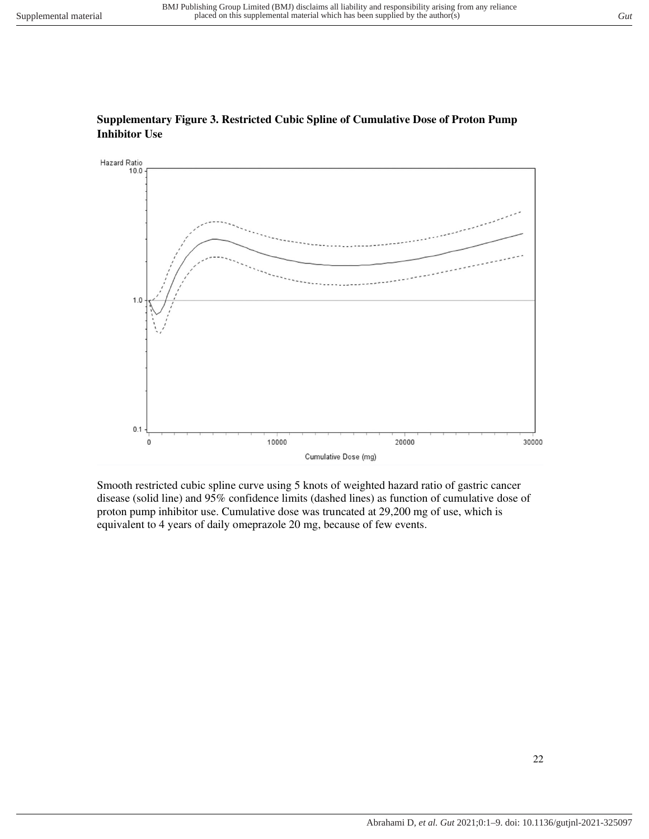

# <span id="page-21-0"></span>**Supplementary Figure 3. Restricted Cubic Spline of Cumulative Dose of Proton Pump Inhibitor Use**

Smooth restricted cubic spline curve using 5 knots of weighted hazard ratio of gastric cancer disease (solid line) and 95% confidence limits (dashed lines) as function of cumulative dose of proton pump inhibitor use. Cumulative dose was truncated at 29,200 mg of use, which is equivalent to 4 years of daily omeprazole 20 mg, because of few events.